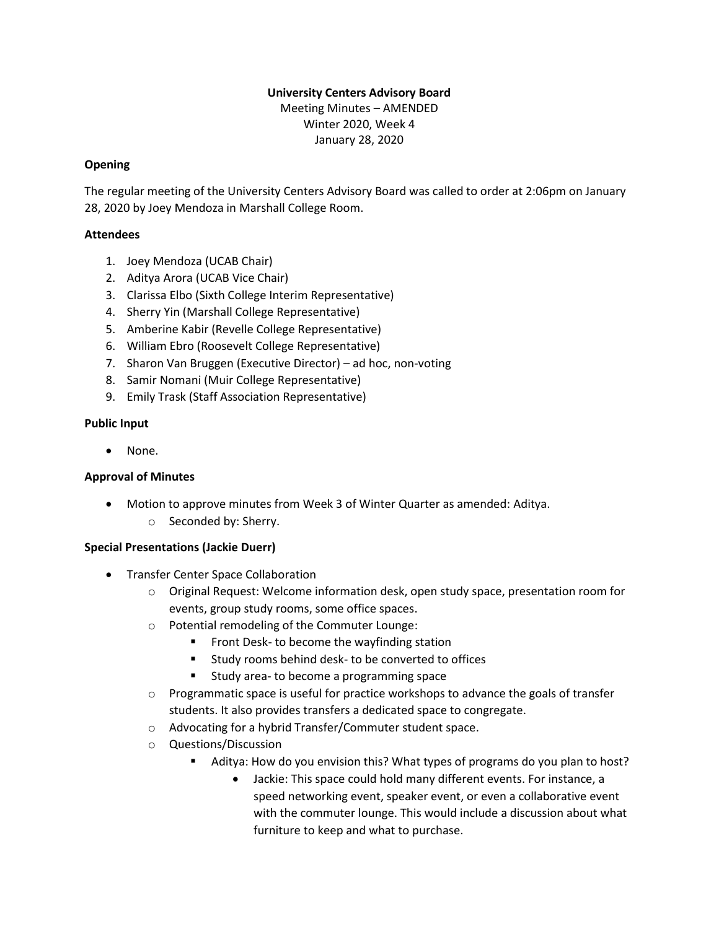### **University Centers Advisory Board** Meeting Minutes – AMENDED

Winter 2020, Week 4 January 28, 2020

## **Opening**

The regular meeting of the University Centers Advisory Board was called to order at 2:06pm on January 28, 2020 by Joey Mendoza in Marshall College Room.

## **Attendees**

- 1. Joey Mendoza (UCAB Chair)
- 2. Aditya Arora (UCAB Vice Chair)
- 3. Clarissa Elbo (Sixth College Interim Representative)
- 4. Sherry Yin (Marshall College Representative)
- 5. Amberine Kabir (Revelle College Representative)
- 6. William Ebro (Roosevelt College Representative)
- 7. Sharon Van Bruggen (Executive Director) ad hoc, non-voting
- 8. Samir Nomani (Muir College Representative)
- 9. Emily Trask (Staff Association Representative)

# **Public Input**

• None.

# **Approval of Minutes**

- Motion to approve minutes from Week 3 of Winter Quarter as amended: Aditya.
	- o Seconded by: Sherry.

# **Special Presentations (Jackie Duerr)**

- Transfer Center Space Collaboration
	- $\circ$  Original Request: Welcome information desk, open study space, presentation room for events, group study rooms, some office spaces.
	- o Potential remodeling of the Commuter Lounge:
		- Front Desk- to become the wayfinding station
		- Study rooms behind desk- to be converted to offices
		- Study area- to become a programming space
	- $\circ$  Programmatic space is useful for practice workshops to advance the goals of transfer students. It also provides transfers a dedicated space to congregate.
	- o Advocating for a hybrid Transfer/Commuter student space.
	- o Questions/Discussion
		- Aditya: How do you envision this? What types of programs do you plan to host?
			- Jackie: This space could hold many different events. For instance, a speed networking event, speaker event, or even a collaborative event with the commuter lounge. This would include a discussion about what furniture to keep and what to purchase.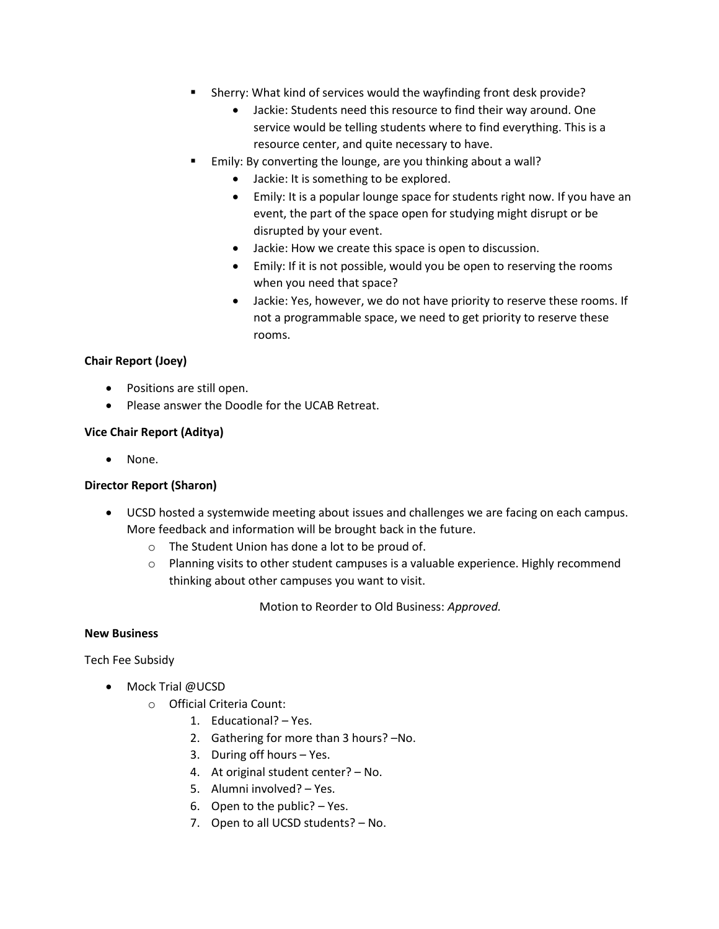- Sherry: What kind of services would the wayfinding front desk provide?
	- Jackie: Students need this resource to find their way around. One service would be telling students where to find everything. This is a resource center, and quite necessary to have.
- Emily: By converting the lounge, are you thinking about a wall?
	- Jackie: It is something to be explored.
	- Emily: It is a popular lounge space for students right now. If you have an event, the part of the space open for studying might disrupt or be disrupted by your event.
	- Jackie: How we create this space is open to discussion.
	- Emily: If it is not possible, would you be open to reserving the rooms when you need that space?
	- Jackie: Yes, however, we do not have priority to reserve these rooms. If not a programmable space, we need to get priority to reserve these rooms.

## **Chair Report (Joey)**

- Positions are still open.
- Please answer the Doodle for the UCAB Retreat.

### **Vice Chair Report (Aditya)**

• None.

#### **Director Report (Sharon)**

- UCSD hosted a systemwide meeting about issues and challenges we are facing on each campus. More feedback and information will be brought back in the future.
	- o The Student Union has done a lot to be proud of.
	- o Planning visits to other student campuses is a valuable experience. Highly recommend thinking about other campuses you want to visit.

Motion to Reorder to Old Business: *Approved.*

#### **New Business**

Tech Fee Subsidy

- Mock Trial @UCSD
	- o Official Criteria Count:
		- 1. Educational? Yes.
		- 2. Gathering for more than 3 hours? –No.
		- 3. During off hours Yes.
		- 4. At original student center? No.
		- 5. Alumni involved? Yes.
		- 6. Open to the public? Yes.
		- 7. Open to all UCSD students? No.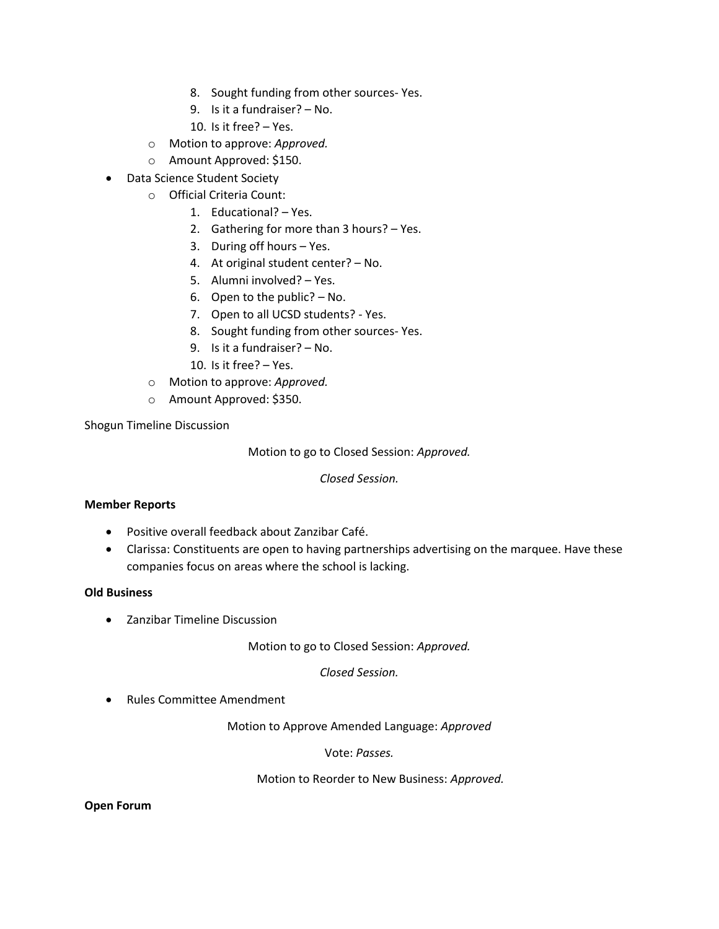- 8. Sought funding from other sources- Yes.
- 9. Is it a fundraiser? No.
- 10. Is it free? Yes.
- o Motion to approve: *Approved.*
- o Amount Approved: \$150.
- Data Science Student Society
	- o Official Criteria Count:
		- 1. Educational? Yes.
		- 2. Gathering for more than 3 hours? Yes.
		- 3. During off hours Yes.
		- 4. At original student center? No.
		- 5. Alumni involved? Yes.
		- 6. Open to the public? No.
		- 7. Open to all UCSD students? Yes.
		- 8. Sought funding from other sources- Yes.
		- 9. Is it a fundraiser? No.
		- 10. Is it free? Yes.
	- o Motion to approve: *Approved.*
	- o Amount Approved: \$350.

Shogun Timeline Discussion

Motion to go to Closed Session: *Approved.*

*Closed Session.*

#### **Member Reports**

- Positive overall feedback about Zanzibar Café.
- Clarissa: Constituents are open to having partnerships advertising on the marquee. Have these companies focus on areas where the school is lacking.

#### **Old Business**

• Zanzibar Timeline Discussion

Motion to go to Closed Session: *Approved.*

*Closed Session.* 

• Rules Committee Amendment

Motion to Approve Amended Language: *Approved*

Vote: *Passes.*

Motion to Reorder to New Business: *Approved.*

#### **Open Forum**